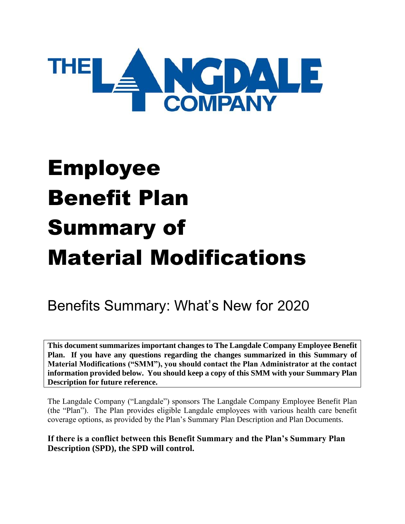

# Employee Benefit Plan Summary of Material Modifications

# Benefits Summary: What's New for 2020

**This document summarizes important changes to The Langdale Company Employee Benefit Plan. If you have any questions regarding the changes summarized in this Summary of Material Modifications ("SMM"), you should contact the Plan Administrator at the contact information provided below. You should keep a copy of this SMM with your Summary Plan Description for future reference.**

The Langdale Company ("Langdale") sponsors The Langdale Company Employee Benefit Plan (the "Plan"). The Plan provides eligible Langdale employees with various health care benefit coverage options, as provided by the Plan's Summary Plan Description and Plan Documents.

**If there is a conflict between this Benefit Summary and the Plan's Summary Plan Description (SPD), the SPD will control.**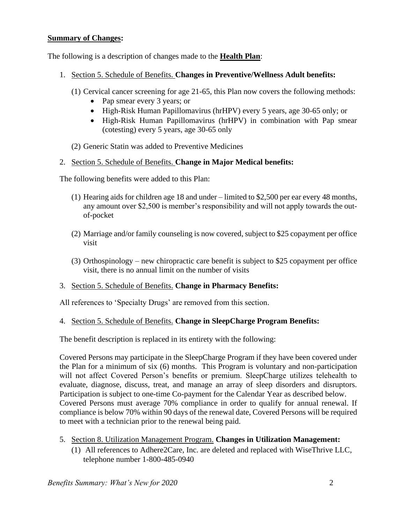#### **Summary of Changes:**

The following is a description of changes made to the **Health Plan**:

- 1. Section 5. Schedule of Benefits. **Changes in Preventive/Wellness Adult benefits:**
	- (1) Cervical cancer screening for age 21-65, this Plan now covers the following methods:
		- Pap smear every 3 years; or
		- High-Risk Human Papillomavirus (hrHPV) every 5 years, age 30-65 only; or
		- High-Risk Human Papillomavirus (hrHPV) in combination with Pap smear (cotesting) every 5 years, age 30-65 only
	- (2) Generic Statin was added to Preventive Medicines
- 2. Section 5. Schedule of Benefits. **Change in Major Medical benefits:**

The following benefits were added to this Plan:

- (1) Hearing aids for children age 18 and under limited to \$2,500 per ear every 48 months, any amount over \$2,500 is member's responsibility and will not apply towards the outof-pocket
- (2) Marriage and/or family counseling is now covered, subject to \$25 copayment per office visit
- (3) Orthospinology new chiropractic care benefit is subject to \$25 copayment per office visit, there is no annual limit on the number of visits

#### 3. Section 5. Schedule of Benefits. **Change in Pharmacy Benefits:**

All references to 'Specialty Drugs' are removed from this section.

#### 4. Section 5. Schedule of Benefits. **Change in SleepCharge Program Benefits:**

The benefit description is replaced in its entirety with the following:

Covered Persons may participate in the SleepCharge Program if they have been covered under the Plan for a minimum of six (6) months. This Program is voluntary and non-participation will not affect Covered Person's benefits or premium. SleepCharge utilizes telehealth to evaluate, diagnose, discuss, treat, and manage an array of sleep disorders and disruptors. Participation is subject to one-time Co-payment for the Calendar Year as described below. Covered Persons must average 70% compliance in order to qualify for annual renewal. If compliance is below 70% within 90 days of the renewal date, Covered Persons will be required to meet with a technician prior to the renewal being paid.

- 5. Section 8. Utilization Management Program. **Changes in Utilization Management:**
	- (1) All references to Adhere2Care, Inc. are deleted and replaced with WiseThrive LLC, telephone number 1-800-485-0940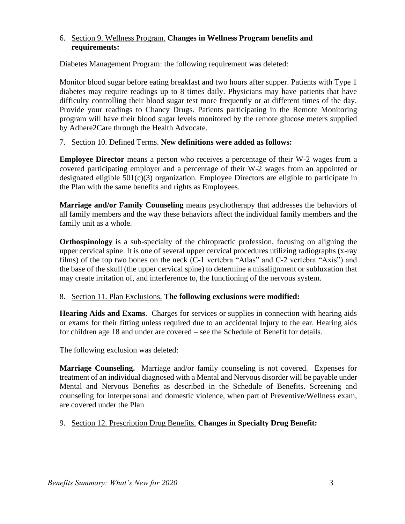#### 6. Section 9. Wellness Program. **Changes in Wellness Program benefits and requirements:**

Diabetes Management Program: the following requirement was deleted:

Monitor blood sugar before eating breakfast and two hours after supper. Patients with Type 1 diabetes may require readings up to 8 times daily. Physicians may have patients that have difficulty controlling their blood sugar test more frequently or at different times of the day. Provide your readings to Chancy Drugs. Patients participating in the Remote Monitoring program will have their blood sugar levels monitored by the remote glucose meters supplied by Adhere2Care through the Health Advocate.

#### 7. Section 10. Defined Terms. **New definitions were added as follows:**

**Employee Director** means a person who receives a percentage of their W-2 wages from a covered participating employer and a percentage of their W-2 wages from an appointed or designated eligible 501(c)(3) organization. Employee Directors are eligible to participate in the Plan with the same benefits and rights as Employees.

**Marriage and/or Family Counseling** means psychotherapy that addresses the behaviors of all family members and the way these behaviors affect the individual family members and the family unit as a whole.

**Orthospinology** is a sub-specialty of the chiropractic profession, focusing on aligning the upper cervical spine. It is one of several upper cervical procedures utilizing radiographs (x-ray films) of the top two bones on the neck (C-1 vertebra "Atlas" and C-2 vertebra "Axis") and the base of the skull (the upper cervical spine) to determine a misalignment or subluxation that may create irritation of, and interference to, the functioning of the nervous system.

#### 8. Section 11. Plan Exclusions. **The following exclusions were modified:**

**Hearing Aids and Exams**. Charges for services or supplies in connection with hearing aids or exams for their fitting unless required due to an accidental Injury to the ear. Hearing aids for children age 18 and under are covered – see the Schedule of Benefit for details.

The following exclusion was deleted:

**Marriage Counseling.** Marriage and/or family counseling is not covered. Expenses for treatment of an individual diagnosed with a Mental and Nervous disorder will be payable under Mental and Nervous Benefits as described in the Schedule of Benefits. Screening and counseling for interpersonal and domestic violence, when part of Preventive/Wellness exam, are covered under the Plan

#### 9. Section 12. Prescription Drug Benefits. **Changes in Specialty Drug Benefit:**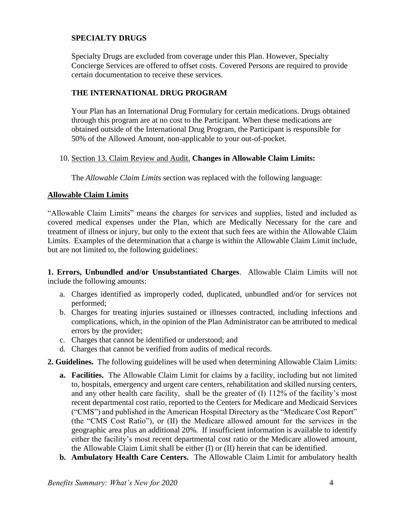# **SPECIALTY DRUGS**

Specialty Drugs are excluded from coverage under this Plan. However, Specialty Concierge Services are offered to offset costs. Covered Persons are required to provide certain documentation to receive these services.

# **THE INTERNATIONAL DRUG PROGRAM**

Your Plan has an International Drug Formulary for certain medications. Drugs obtained through this program are at no cost to the Participant. When these medications are obtained outside of the International Drug Program, the Participant is responsible for 50% of the Allowed Amount, non-applicable to your out-of-pocket.

#### 10. Section 13. Claim Review and Audit. **Changes in Allowable Claim Limits:**

The *Allowable Claim Limits* section was replaced with the following language:

# **Allowable Claim Limits**

"Allowable Claim Limits" means the charges for services and supplies, listed and included as covered medical expenses under the Plan, which are Medically Necessary for the care and treatment of illness or injury, but only to the extent that such fees are within the Allowable Claim Limits. Examples of the determination that a charge is within the Allowable Claim Limit include, but are not limited to, the following guidelines:

**1. Errors, Unbundled and/or Unsubstantiated Charges**. Allowable Claim Limits will not include the following amounts:

- a. Charges identified as improperly coded, duplicated, unbundled and/or for services not performed;
- b. Charges for treating injuries sustained or illnesses contracted, including infections and complications, which, in the opinion of the Plan Administrator can be attributed to medical errors by the provider;
- c. Charges that cannot be identified or understood; and
- d. Charges that cannot be verified from audits of medical records.

# **2. Guidelines.** The following guidelines will be used when determining Allowable Claim Limits:

- **a. Facilities.** The Allowable Claim Limit for claims by a facility, including but not limited to, hospitals, emergency and urgent care centers, rehabilitation and skilled nursing centers, and any other health care facility, shall be the greater of (I) 112% of the facility's most recent departmental cost ratio, reported to the Centers for Medicare and Medicaid Services ("CMS") and published in the American Hospital Directory as the "Medicare Cost Report" (the "CMS Cost Ratio"), or (II) the Medicare allowed amount for the services in the geographic area plus an additional 20%. If insufficient information is available to identify either the facility's most recent departmental cost ratio or the Medicare allowed amount, the Allowable Claim Limit shall be either (I) or (II) herein that can be identified.
- **b. Ambulatory Health Care Centers.** The Allowable Claim Limit for ambulatory health